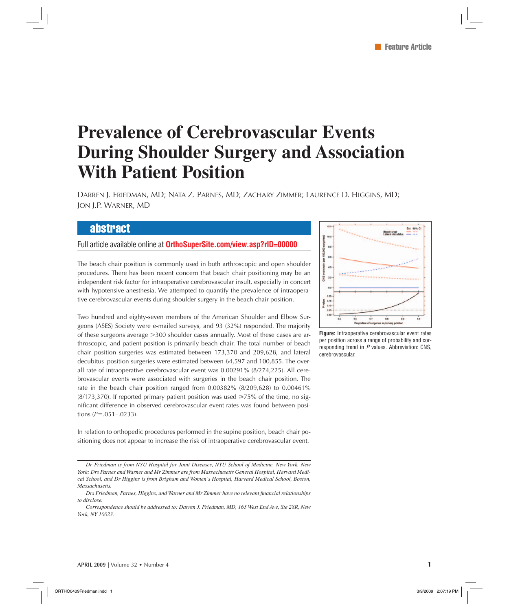# **Prevalence of Cerebrovascular Events During Shoulder Surgery and Association With Patient Position**

DARREN J. FRIEDMAN, MD; NATA Z. PARNES, MD; ZACHARY ZIMMER; LAURENCE D. HIGGINS, MD; JON J.P. WARNER, MD

# abstract

# Full article available online at **OrthoSuperSite.com/view.asp?rID=00000**

The beach chair position is commonly used in both arthroscopic and open shoulder procedures. There has been recent concern that beach chair positioning may be an independent risk factor for intraoperative cerebrovascular insult, especially in concert with hypotensive anesthesia. We attempted to quantify the prevalence of intraoperative cerebrovascular events during shoulder surgery in the beach chair position.

Two hundred and eighty-seven members of the American Shoulder and Elbow Surgeons (ASES) Society were e-mailed surveys, and 93 (32%) responded. The majority of these surgeons average -300 shoulder cases annually. Most of these cases are arthroscopic, and patient position is primarily beach chair. The total number of beach chair–position surgeries was estimated between 173,370 and 209,628, and lateral decubitus–position surgeries were estimated between 64,597 and 100,855. The overall rate of intraoperative cerebrovascular event was 0.00291% (8/274,225). All cerebrovascular events were associated with surgeries in the beach chair position. The rate in the beach chair position ranged from 0.00382% (8/209,628) to 0.00461% (8/173,370). If reported primary patient position was used  $\geq 75\%$  of the time, no significant difference in observed cerebrovascular event rates was found between positions  $(P=.051-.0233)$ .

In relation to orthopedic procedures performed in the supine position, beach chair positioning does not appear to increase the risk of intraoperative cerebrovascular event.

*Dr Friedman is from NYU Hospital for Joint Diseases, NYU School of Medicine, New York, New York; Drs Parnes and Warner and Mr Zimmer are from Massachusetts General Hospital, Harvard Medical School, and Dr Higgins is from Brigham and Women's Hospital, Harvard Medical School, Boston, Massachusetts.*

Drs Friedman, Parnes, Higgins, and Warner and Mr Zimmer have no relevant financial relationships *to disclose.*

*Correspondence should be addressed to: Darren J. Friedman, MD, 165 West End Ave, Ste 28R, New York, NY 10023.*



**Figure:** Intraoperative cerebrovascular event rates per position across a range of probability and corresponding trend in *P* values. Abbreviation: CNS, cerebrovascular.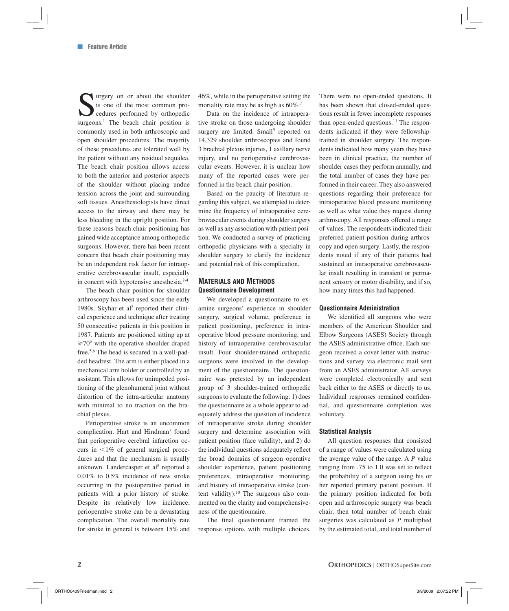$\sum$  urgery on or about the shoulder<br>is one of the most common pro-<br>cedures performed by orthopedic<br>surgeons<sup>1</sup> The beach chair position is is one of the most common procedures performed by orthopedic surgeons.<sup>1</sup> The beach chair position is commonly used in both arthroscopic and open shoulder procedures. The majority of these procedures are tolerated well by the patient without any residual sequalea. The beach chair position allows access to both the anterior and posterior aspects of the shoulder without placing undue tension across the joint and surrounding soft tissues. Anesthesiologists have direct access to the airway and there may be less bleeding in the upright position. For these reasons beach chair positioning has gained wide acceptance among orthopedic surgeons. However, there has been recent concern that beach chair positioning may be an independent risk factor for intraoperative cerebrovascular insult, especially in concert with hypotensive anesthesia.<sup>2-4</sup>

The beach chair position for shoulder arthroscopy has been used since the early 1980s. Skyhar et al<sup>5</sup> reported their clinical experience and technique after treating 50 consecutive patients in this position in 1987. Patients are positioned sitting up at  $\geq 70^{\circ}$  with the operative shoulder draped free.5,6 The head is secured in a well-padded headrest. The arm is either placed in a mechanical arm holder or controlled by an assistant. This allows for unimpeded positioning of the glenohumeral joint without distortion of the intra-articular anatomy with minimal to no traction on the brachial plexus.

Perioperative stroke is an uncommon complication. Hart and Hindman<sup>7</sup> found that perioperative cerebral infarction occurs in  $1\%$  of general surgical procedures and that the mechanism is usually unknown. Landercasper et al<sup>8</sup> reported a 0.01% to 0.5% incidence of new stroke occurring in the postoperative period in patients with a prior history of stroke. Despite its relatively low incidence, perioperative stroke can be a devastating complication. The overall mortality rate for stroke in general is between 15% and

46%, while in the perioperative setting the mortality rate may be as high as  $60\%$ .<sup>7</sup>

Data on the incidence of intraoperative stroke on those undergoing shoulder surgery are limited. Small<sup>9</sup> reported on 14,329 shoulder arthroscopies and found 3 brachial plexus injuries, 1 axillary nerve injury, and no perioperative cerebrovascular events. However, it is unclear how many of the reported cases were performed in the beach chair position.

Based on the paucity of literature regarding this subject, we attempted to determine the frequency of intraoperative cerebrovascular events during shoulder surgery as well as any association with patient position. We conducted a survey of practicing orthopedic physicians with a specialty in shoulder surgery to clarify the incidence and potential risk of this complication.

## **MATERIALS AND METHODS Questionnaire Development**

We developed a questionnaire to examine surgeons' experience in shoulder surgery, surgical volume, preference in patient positioning, preference in intraoperative blood pressure monitoring, and history of intraoperative cerebrovascular insult. Four shoulder-trained orthopedic surgeons were involved in the development of the questionnaire. The questionnaire was pretested by an independent group of 3 shoulder-trained orthopedic surgeons to evaluate the following: 1) does the questionnaire as a whole appear to adequately address the question of incidence of intraoperative stroke during shoulder surgery and determine association with patient position (face validity), and 2) do the individual questions adequately reflect the broad domains of surgeon operative shoulder experience, patient positioning preferences, intraoperative monitoring, and history of intraoperative stroke (content validity). $10$  The surgeons also commented on the clarity and comprehensiveness of the questionnaire.

The final questionnaire framed the response options with multiple choices. There were no open-ended questions. It has been shown that closed-ended questions result in fewer incomplete responses than open-ended questions.<sup>11</sup> The respondents indicated if they were fellowshiptrained in shoulder surgery. The respondents indicated how many years they have been in clinical practice, the number of shoulder cases they perform annually, and the total number of cases they have performed in their career. They also answered questions regarding their preference for intraoperative blood pressure monitoring as well as what value they request during arthroscopy. All responses offered a range of values. The respondents indicated their preferred patient position during arthroscopy and open surgery. Lastly, the respondents noted if any of their patients had sustained an intraoperative cerebrovascular insult resulting in transient or permanent sensory or motor disability, and if so, how many times this had happened.

#### **Questionnaire Administration**

We identified all surgeons who were members of the American Shoulder and Elbow Surgeons (ASES) Society through the ASES administrative office. Each surgeon received a cover letter with instructions and survey via electronic mail sent from an ASES administrator. All surveys were completed electronically and sent back either to the ASES or directly to us. Individual responses remained confidential, and questionnaire completion was voluntary.

#### **Statistical Analysis**

All question responses that consisted of a range of values were calculated using the average value of the range. A *P* value ranging from .75 to 1.0 was set to reflect the probability of a surgeon using his or her reported primary patient position. If the primary position indicated for both open and arthroscopic surgery was beach chair, then total number of beach chair surgeries was calculated as *P* multiplied by the estimated total, and total number of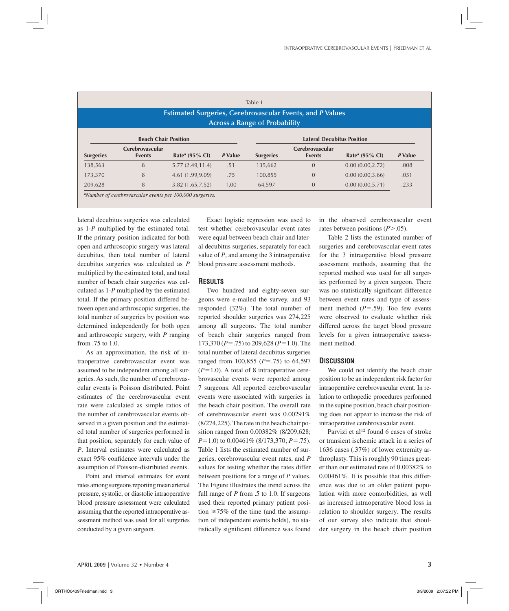| Table 1<br><b>Estimated Surgeries, Cerebrovascular Events, and P Values</b><br><b>Across a Range of Probability</b> |                             |                            |         |                  |                                   |                            |         |  |  |
|---------------------------------------------------------------------------------------------------------------------|-----------------------------|----------------------------|---------|------------------|-----------------------------------|----------------------------|---------|--|--|
|                                                                                                                     | <b>Beach Chair Position</b> |                            |         |                  | <b>Lateral Decubitus Position</b> |                            |         |  |  |
| <b>Surgeries</b>                                                                                                    | Cerebrovascular<br>Events   | Rate <sup>a</sup> (95% CI) | P Value | <b>Surgeries</b> | Cerebrovascular<br><b>Events</b>  | Rate <sup>a</sup> (95% CI) | P Value |  |  |
|                                                                                                                     | 8                           | 5.77(2.49, 11.4)           | .51     | 135,662          | $\Omega$                          | 0.00(0.00, 2.72)           | .008    |  |  |
| 138,563                                                                                                             |                             |                            |         |                  |                                   |                            |         |  |  |
| 173,370                                                                                                             | 8                           | 4.61 (1.99,9.09)           | .75     | 100,855          | $\Omega$                          | 0.00(0.00, 3.66)           | .051    |  |  |

lateral decubitus surgeries was calculated as 1-*P* multiplied by the estimated total. If the primary position indicated for both open and arthroscopic surgery was lateral decubitus, then total number of lateral decubitus surgeries was calculated as *P* multiplied by the estimated total, and total number of beach chair surgeries was calculated as 1-*P* multiplied by the estimated total. If the primary position differed between open and arthroscopic surgeries, the total number of surgeries by position was determined independently for both open and arthroscopic surgery, with *P* ranging from .75 to 1.0.

As an approximation, the risk of intraoperative cerebrovascular event was assumed to be independent among all surgeries. As such, the number of cerebrovascular events is Poisson distributed. Point estimates of the cerebrovascular event rate were calculated as simple ratios of the number of cerebrovascular events observed in a given position and the estimated total number of surgeries performed in that position, separately for each value of *P*. Interval estimates were calculated as exact 95% confidence intervals under the assumption of Poisson-distributed events.

Point and interval estimates for event rates among surgeons reporting mean arterial pressure, systolic, or diastolic intraoperative blood pressure assessment were calculated assuming that the reported intraoperative assessment method was used for all surgeries conducted by a given surgeon.

Exact logistic regression was used to test whether cerebrovascular event rates were equal between beach chair and lateral decubitus surgeries, separately for each value of *P*, and among the 3 intraoperative blood pressure assessment methods.

### **RESULTS**

Two hundred and eighty-seven surgeons were e-mailed the survey, and 93 responded (32%). The total number of reported shoulder surgeries was 274,225 among all surgeons. The total number of beach chair surgeries ranged from 173,370 ( $P = .75$ ) to 209,628 ( $P = 1.0$ ). The total number of lateral decubitus surgeries ranged from 100,855  $(P=.75)$  to 64,597  $(P=1.0)$ . A total of 8 intraoperative cerebrovascular events were reported among 7 surgeons. All reported cerebrovascular events were associated with surgeries in the beach chair position. The overall rate of cerebrovascular event was 0.00291% (8/274,225). The rate in the beach chair position ranged from 0.00382% (8/209,628; *P*=1.0) to 0.00461\% (8/173,370; *P*=.75). Table 1 lists the estimated number of surgeries, cerebrovascular event rates, and *P*  values for testing whether the rates differ between positions for a range of *P* values. The Figure illustrates the trend across the full range of *P* from .5 to 1.0. If surgeons used their reported primary patient position  $\geq 75\%$  of the time (and the assumption of independent events holds), no statistically significant difference was found

in the observed cerebrovascular event rates between positions (P > .05).

Table 2 lists the estimated number of surgeries and cerebrovascular event rates for the 3 intraoperative blood pressure assessment methods, assuming that the reported method was used for all surgeries performed by a given surgeon. There was no statistically significant difference between event rates and type of assessment method  $(P = .59)$ . Too few events were observed to evaluate whether risk differed across the target blood pressure levels for a given intraoperative assessment method.

## **DISCUSSION**

We could not identify the beach chair position to be an independent risk factor for intraoperative cerebrovascular event. In relation to orthopedic procedures performed in the supine position, beach chair positioning does not appear to increase the risk of intraoperative cerebrovascular event.

Parvizi et al<sup>12</sup> found 6 cases of stroke or transient ischemic attack in a series of 1636 cases (.37%) of lower extremity arthroplasty. This is roughly 90 times greater than our estimated rate of 0.00382% to 0.00461%. It is possible that this difference was due to an older patient population with more comorbidities, as well as increased intraoperative blood loss in relation to shoulder surgery. The results of our survey also indicate that shoulder surgery in the beach chair position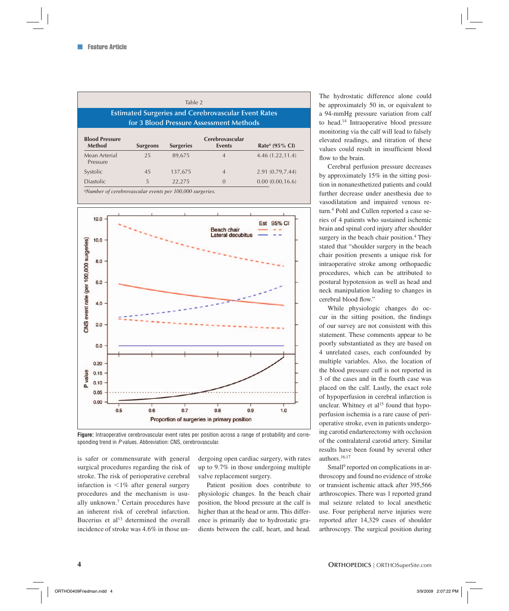| Table 2<br><b>Estimated Surgeries and Cerebrovascular Event Rates</b><br>for 3 Blood Pressure Assessment Methods |                 |                  |                                  |                            |  |  |  |  |  |
|------------------------------------------------------------------------------------------------------------------|-----------------|------------------|----------------------------------|----------------------------|--|--|--|--|--|
| <b>Blood Pressure</b><br><b>Method</b>                                                                           | <b>Surgeons</b> | <b>Surgeries</b> | Cerebrovascular<br><b>Events</b> | Rate <sup>a</sup> (95% CI) |  |  |  |  |  |
| Mean Arterial<br>Pressure                                                                                        | 25              | 89.675           | $\overline{4}$                   | 4.46 (1.22, 11.4)          |  |  |  |  |  |
| Systolic                                                                                                         | 45              | 137,675          | $\overline{4}$                   | 2.91 (0.79,7.44)           |  |  |  |  |  |
| <b>Diastolic</b>                                                                                                 | 5               | 22,275           | $\Omega$                         | 0.00(0.00, 16.6)           |  |  |  |  |  |

a *Number of cerebrovascular events per 100,000 surgeries.*



**Figure:** Intraoperative cerebrovascular event rates per position across a range of probability and corresponding trend in *P* values. Abbreviation: CNS, cerebrovascular.

is safer or commensurate with general surgical procedures regarding the risk of stroke. The risk of perioperative cerebral infarction is  $\leq 1\%$  after general surgery procedures and the mechanism is usually unknown.7 Certain procedures have an inherent risk of cerebral infarction. Bucerius et  $al<sup>13</sup>$  determined the overall incidence of stroke was 4.6% in those undergoing open cardiac surgery, with rates up to 9.7% in those undergoing multiple valve replacement surgery.

Patient position does contribute to physiologic changes. In the beach chair position, the blood pressure at the calf is higher than at the head or arm. This difference is primarily due to hydrostatic gradients between the calf, heart, and head. The hydrostatic difference alone could be approximately 50 in, or equivalent to a 94-mmHg pressure variation from calf to head.14 Intraoperative blood pressure monitoring via the calf will lead to falsely elevated readings, and titration of these values could result in insufficient blood flow to the brain.

Cerebral perfusion pressure decreases by approximately 15% in the sitting position in nonanesthetized patients and could further decrease under anesthesia due to vasodilatation and impaired venous return.4 Pohl and Cullen reported a case series of 4 patients who sustained ischemic brain and spinal cord injury after shoulder surgery in the beach chair position.<sup>4</sup> They stated that "shoulder surgery in the beach chair position presents a unique risk for intraoperative stroke among orthopaedic procedures, which can be attributed to postural hypotension as well as head and neck manipulation leading to changes in cerebral blood flow."

While physiologic changes do occur in the sitting position, the findings of our survey are not consistent with this statement. These comments appear to be poorly substantiated as they are based on 4 unrelated cases, each confounded by multiple variables. Also, the location of the blood pressure cuff is not reported in 3 of the cases and in the fourth case was placed on the calf. Lastly, the exact role of hypoperfusion in cerebral infarction is unclear. Whitney et  $al<sup>15</sup>$  found that hypoperfusion ischemia is a rare cause of perioperative stroke, even in patients undergoing carotid endarterectomy with occlusion of the contralateral carotid artery. Similar results have been found by several other authors.16,17

Small<sup>9</sup> reported on complications in arthroscopy and found no evidence of stroke or transient ischemic attack after 395,566 arthroscopies. There was 1 reported grand mal seizure related to local anesthetic use. Four peripheral nerve injuries were reported after 14,329 cases of shoulder arthroscopy. The surgical position during